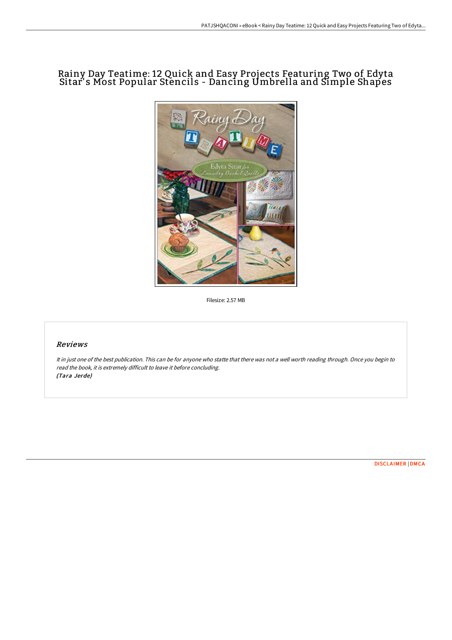# Rainy Day Teatime: 12 Quick and Easy Projects Featuring Two of Edyta Sitar' s Most Popular Stencils - Dancing Umbrella and Simple Shapes



Filesize: 2.57 MB

## Reviews

It in just one of the best publication. This can be for anyone who statte that there was not <sup>a</sup> well worth reading through. Once you begin to read the book, it is extremely difficult to leave it before concluding. (Tara Jerde)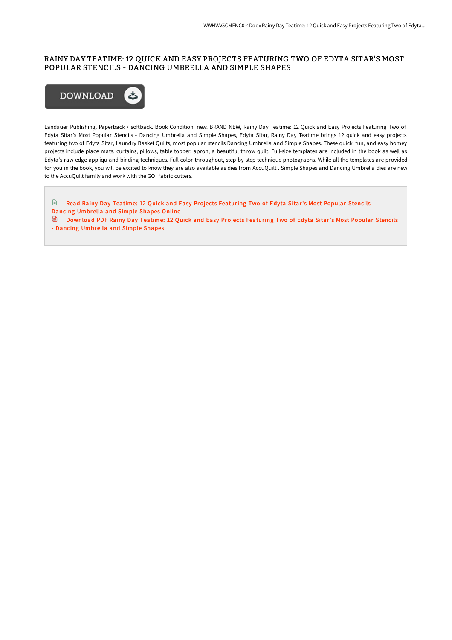### RAINY DAY TEATIME: 12 QUICK AND EASY PROJECTS FEATURING TWO OF EDYTA SITAR'S MOST POPULAR STENCILS - DANCING UMBRELLA AND SIMPLE SHAPES



Landauer Publishing. Paperback / softback. Book Condition: new. BRAND NEW, Rainy Day Teatime: 12 Quick and Easy Projects Featuring Two of Edyta Sitar's Most Popular Stencils - Dancing Umbrella and Simple Shapes, Edyta Sitar, Rainy Day Teatime brings 12 quick and easy projects featuring two of Edyta Sitar, Laundry Basket Quilts, most popular stencils Dancing Umbrella and Simple Shapes. These quick, fun, and easy homey projects include place mats, curtains, pillows, table topper, apron, a beautiful throw quilt. Full-size templates are included in the book as well as Edyta's raw edge appliqu and binding techniques. Full color throughout, step-by-step technique photographs. While all the templates are provided for you in the book, you will be excited to know they are also available as dies from AccuQuilt . Simple Shapes and Dancing Umbrella dies are new to the AccuQuilt family and work with the GO! fabric cutters.

 $\mathbb{R}$ Read Rainy Day Teatime: 12 Quick and Easy Projects [Featuring](http://techno-pub.tech/rainy-day-teatime-12-quick-and-easy-projects-fea.html) Two of Edyta Sitar's Most Popular Stencils - Dancing Umbrella and Simple Shapes Online

[Download](http://techno-pub.tech/rainy-day-teatime-12-quick-and-easy-projects-fea.html) PDF Rainy Day Teatime: 12 Quick and Easy Projects Featuring Two of Edyta Sitar's Most Popular Stencils - Dancing Umbrella and Simple Shapes